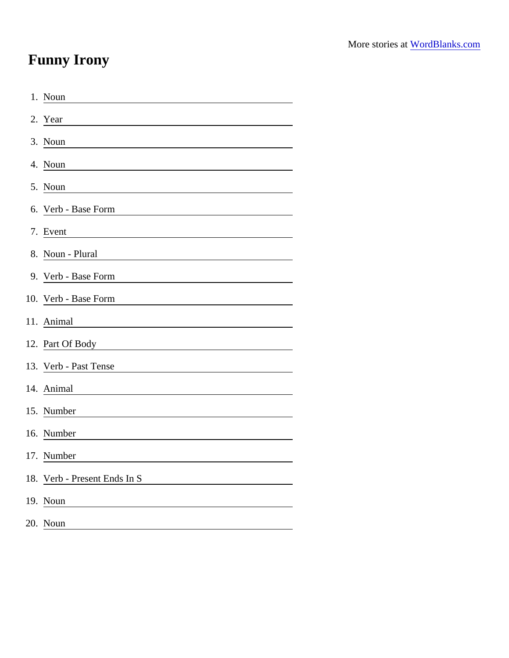## Funny Irony

| 1. Noun                                                                                                                                      |
|----------------------------------------------------------------------------------------------------------------------------------------------|
| 2. Year                                                                                                                                      |
| 3. Noun                                                                                                                                      |
| 4. Noun                                                                                                                                      |
| 5. Noun                                                                                                                                      |
| 6. Verb - Base Form                                                                                                                          |
| 7. Event                                                                                                                                     |
| 8. Noun - Plural                                                                                                                             |
| 9. Verb - Base Form<br><u> 1989 - Johann Harry Harry Harry Harry Harry Harry Harry Harry Harry Harry Harry Harry Harry Harry Harry Harry</u> |
| 10. Verb - Base Form                                                                                                                         |
| 11. Animal                                                                                                                                   |
|                                                                                                                                              |
| 13. Verb - Past Tense                                                                                                                        |
| 14. Animal                                                                                                                                   |
| 15. Number                                                                                                                                   |
| 16. Number                                                                                                                                   |
| 17. Number                                                                                                                                   |
| 18. Verb - Present Ends In S                                                                                                                 |
| 19. Noun                                                                                                                                     |
| 20. Noun                                                                                                                                     |